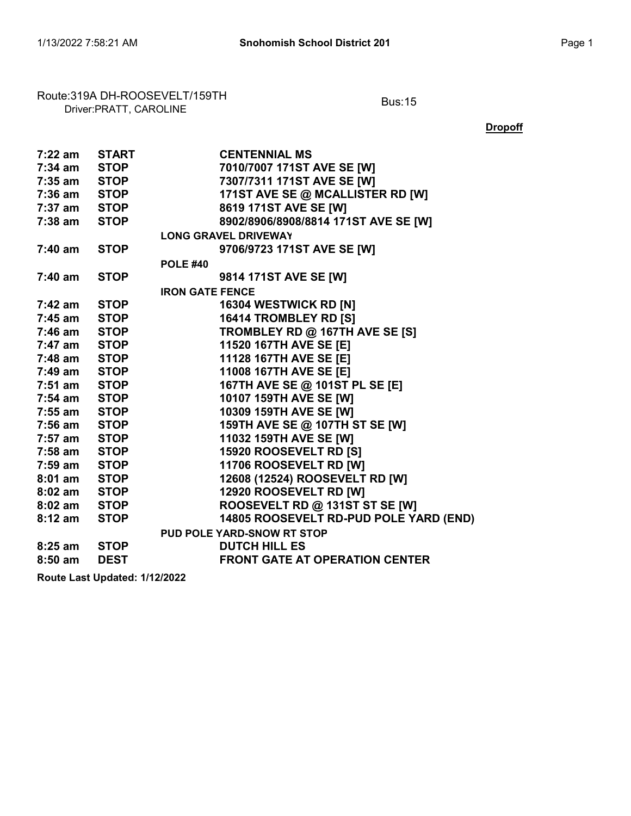## Route:319A DH-ROOSEVELT/159TH<br>Driver:PRATT, CAROLINE

**Dropoff** 

| 7:22 am      | <b>START</b> | <b>CENTENNIAL MS</b>                   |
|--------------|--------------|----------------------------------------|
| 7:34 am STOP |              | 7010/7007 171ST AVE SE [W]             |
| 7:35 am      | <b>STOP</b>  | 7307/7311 171ST AVE SE [W]             |
| 7:36 am STOP |              | 171ST AVE SE @ MCALLISTER RD [W]       |
| 7:37 am STOP |              | 8619 171ST AVE SE [W]                  |
| $7:38$ am    | <b>STOP</b>  | 8902/8906/8908/8814 171ST AVE SE [W]   |
|              |              | <b>LONG GRAVEL DRIVEWAY</b>            |
| $7:40$ am    | <b>STOP</b>  | 9706/9723 171ST AVE SE [W]             |
|              |              | <b>POLE #40</b>                        |
| 7:40 am      | <b>STOP</b>  | 9814 171ST AVE SE [W]                  |
|              |              | <b>IRON GATE FENCE</b>                 |
| 7:42 am      | <b>STOP</b>  | 16304 WESTWICK RD [N]                  |
| $7:45$ am    | <b>STOP</b>  | 16414 TROMBLEY RD [S]                  |
| 7:46 am      | <b>STOP</b>  | TROMBLEY RD @ 167TH AVE SE [S]         |
| 7:47 am      | <b>STOP</b>  | 11520 167TH AVE SE [E]                 |
| 7:48 am STOP |              | 11128 167TH AVE SE [E]                 |
| 7:49 am STOP |              | 11008 167TH AVE SE [E]                 |
| $7:51$ am    | <b>STOP</b>  | 167TH AVE SE @ 101ST PL SE [E]         |
| $7:54$ am    | <b>STOP</b>  | 10107 159TH AVE SE [W]                 |
| 7:55 am      | <b>STOP</b>  | 10309 159TH AVE SE [W]                 |
| 7:56 am      | <b>STOP</b>  | 159TH AVE SE @ 107TH ST SE [W]         |
| 7:57 am STOP |              | 11032 159TH AVE SE [W]                 |
| 7:58 am STOP |              | 15920 ROOSEVELT RD [S]                 |
| $7:59$ am    | <b>STOP</b>  | 11706 ROOSEVELT RD [W]                 |
| $8:01$ am    | <b>STOP</b>  | 12608 (12524) ROOSEVELT RD [W]         |
| $8:02$ am    | <b>STOP</b>  | 12920 ROOSEVELT RD [W]                 |
| $8:02$ am    | <b>STOP</b>  | ROOSEVELT RD @ 131ST ST SE [W]         |
| $8:12$ am    | <b>STOP</b>  | 14805 ROOSEVELT RD-PUD POLE YARD (END) |
|              |              | PUD POLE YARD-SNOW RT STOP             |
| $8:25$ am    | <b>STOP</b>  | <b>DUTCH HILL ES</b>                   |
| $8:50$ am    | <b>DEST</b>  | <b>FRONT GATE AT OPERATION CENTER</b>  |
|              |              |                                        |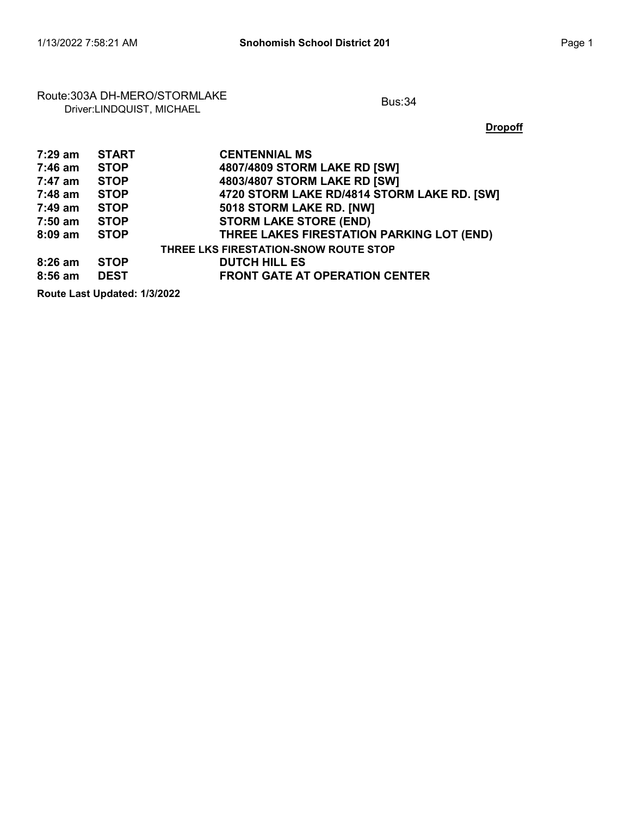#### Route:303A DH-MERO/STORMLAKE<br>Driver:LINDQUIST, MICHAEL

**Dropoff** 

| 7:29 am   | <b>START</b> | <b>CENTENNIAL MS</b>                        |
|-----------|--------------|---------------------------------------------|
| 7:46 am   | <b>STOP</b>  | 4807/4809 STORM LAKE RD [SW]                |
| 7:47 am   | <b>STOP</b>  | 4803/4807 STORM LAKE RD [SW]                |
| 7:48 am   | <b>STOP</b>  | 4720 STORM LAKE RD/4814 STORM LAKE RD. [SW] |
| 7:49 am   | <b>STOP</b>  | 5018 STORM LAKE RD. [NW]                    |
| 7:50 am   | <b>STOP</b>  | <b>STORM LAKE STORE (END)</b>               |
| $8:09$ am | <b>STOP</b>  | THREE LAKES FIRESTATION PARKING LOT (END)   |
|           |              | THREE LKS FIRESTATION-SNOW ROUTE STOP       |
| $8:26$ am | <b>STOP</b>  | <b>DUTCH HILL ES</b>                        |
| $8:56$ am | <b>DEST</b>  | <b>FRONT GATE AT OPERATION CENTER</b>       |
|           |              |                                             |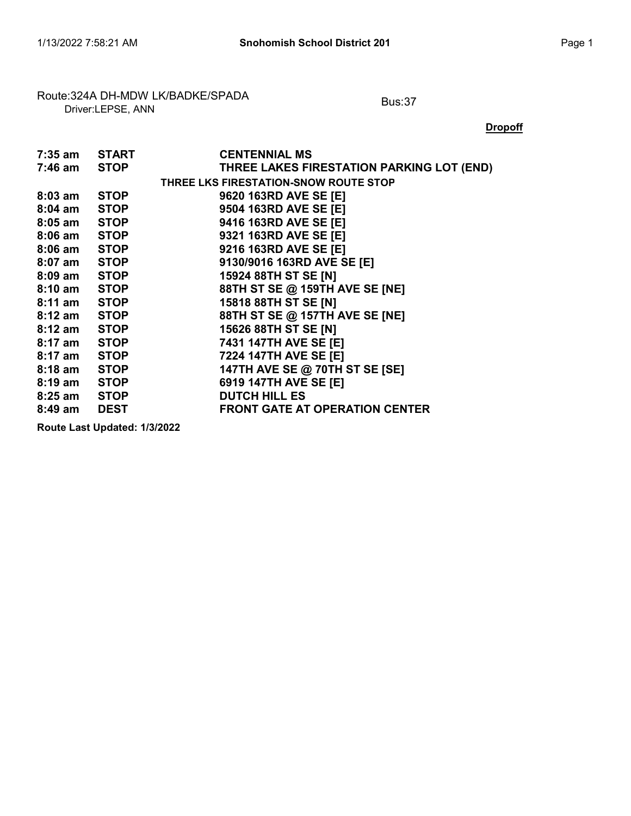## Route:324A DH-MDW LK/BADKE/SPADA<br>Driver:LEPSE, ANN

**Dropoff** 

| 7:35 am START |             | <b>CENTENNIAL MS</b>                      |
|---------------|-------------|-------------------------------------------|
| 7:46 am STOP  |             | THREE LAKES FIRESTATION PARKING LOT (END) |
|               |             | THREE LKS FIRESTATION-SNOW ROUTE STOP     |
| 8:03 am       | <b>STOP</b> | 9620 163RD AVE SE [E]                     |
| 8:04 am STOP  |             | 9504 163RD AVE SE [E]                     |
| 8:05 am STOP  |             | 9416 163RD AVE SE [E]                     |
| 8:06 am STOP  |             | 9321 163RD AVE SE [E]                     |
| 8:06 am STOP  |             | 9216 163RD AVE SE [E]                     |
| 8:07 am STOP  |             | 9130/9016 163RD AVE SE [E]                |
| 8:09 am STOP  |             | 15924 88TH ST SE [N]                      |
| 8:10 am STOP  |             | 88TH ST SE @ 159TH AVE SE [NE]            |
| 8:11 am STOP  |             | 15818 88TH ST SE [N]                      |
| 8:12 am STOP  |             | 88TH ST SE @ 157TH AVE SE [NE]            |
| 8:12 am       | <b>STOP</b> | 15626 88TH ST SE [N]                      |
| 8:17 am STOP  |             | 7431 147TH AVE SE [E]                     |
| 8:17 am STOP  |             | 7224 147TH AVE SE [E]                     |
| 8:18 am STOP  |             | 147TH AVE SE @ 70TH ST SE [SE]            |
| 8:19 am STOP  |             | 6919 147TH AVE SE [E]                     |
| 8:25 am STOP  |             | <b>DUTCH HILL ES</b>                      |
| 8:49 am       | <b>DEST</b> | <b>FRONT GATE AT OPERATION CENTER</b>     |
|               |             |                                           |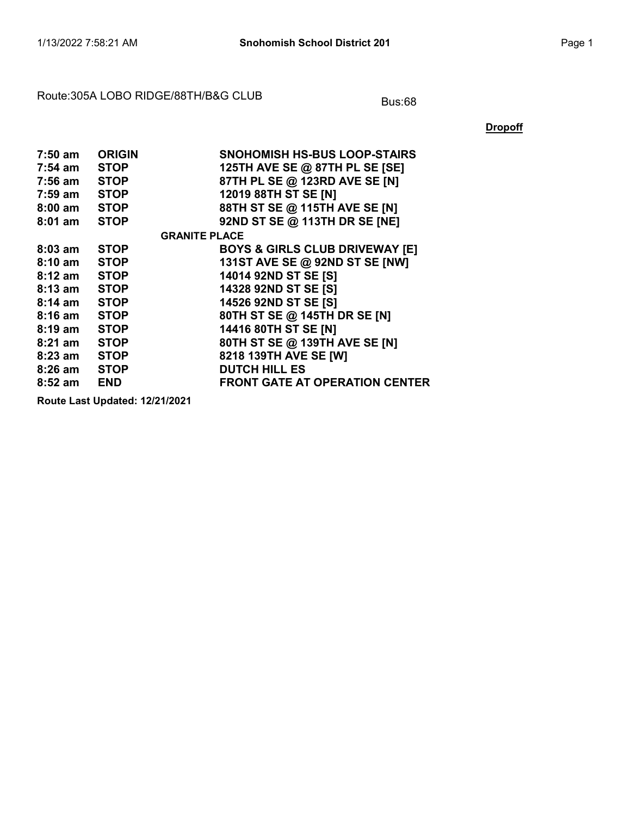#### Route:305A LOBO RIDGE/88TH/B&G CLUB Bus:68

**Dropoff** 

| 7:50 am      | <b>ORIGIN</b>        | <b>SNOHOMISH HS-BUS LOOP-STAIRS</b>       |
|--------------|----------------------|-------------------------------------------|
| 7:54 am      | <b>STOP</b>          | 125TH AVE SE @ 87TH PL SE [SE]            |
| 7:56 am      | <b>STOP</b>          | 87TH PL SE @ 123RD AVE SE [N]             |
| 7:59 am STOP |                      | 12019 88TH ST SE [N]                      |
| 8:00 am      | <b>STOP</b>          | 88TH ST SE @ 115TH AVE SE [N]             |
| $8:01$ am    | <b>STOP</b>          | 92ND ST SE @ 113TH DR SE [NE]             |
|              | <b>GRANITE PLACE</b> |                                           |
| $8:03$ am    | <b>STOP</b>          | <b>BOYS &amp; GIRLS CLUB DRIVEWAY [E]</b> |
| 8:10 am      | <b>STOP</b>          | 131ST AVE SE @ 92ND ST SE [NW]            |
| 8:12 am      | <b>STOP</b>          | 14014 92ND ST SE [S]                      |
| 8:13 am      | <b>STOP</b>          | 14328 92ND ST SE [S]                      |
| 8:14 am      | <b>STOP</b>          | 14526 92ND ST SE [S]                      |
| 8:16 am STOP |                      | 80TH ST SE @ 145TH DR SE [N]              |
| 8:19 am STOP |                      | 14416 80TH ST SE [N]                      |
| 8:21 am      | <b>STOP</b>          | 80TH ST SE @ 139TH AVE SE [N]             |
| 8:23 am STOP |                      | 8218 139TH AVE SE [W]                     |
| 8:26 am STOP |                      | <b>DUTCH HILL ES</b>                      |
| $8:52$ am    | <b>END</b>           | <b>FRONT GATE AT OPERATION CENTER</b>     |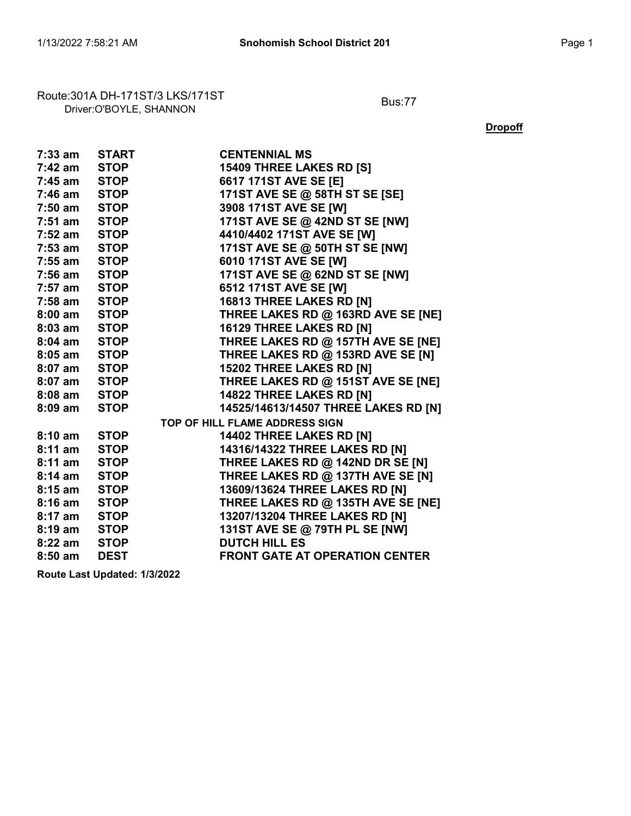# Route:301A DH-171ST/3 LKS/171ST<br>Driver:O'BOYLE, SHANNON

**Dropoff** 

| 7:33 am           | <b>START</b> | <b>CENTENNIAL MS</b>                  |
|-------------------|--------------|---------------------------------------|
| 7:42 am           | <b>STOP</b>  | 15409 THREE LAKES RD [S]              |
| 7:45 am           | <b>STOP</b>  | 6617 171ST AVE SE [E]                 |
| 7:46 am           | <b>STOP</b>  | 171ST AVE SE @ 58TH ST SE [SE]        |
| 7:50 am           | <b>STOP</b>  | 3908 171ST AVE SE [W]                 |
| 7:51 am           | <b>STOP</b>  | 171ST AVE SE @ 42ND ST SE [NW]        |
| 7:52 am STOP      |              | 4410/4402 171ST AVE SE [W]            |
| $7:53$ am         | <b>STOP</b>  | 171ST AVE SE @ 50TH ST SE [NW]        |
| 7:55 am           | <b>STOP</b>  | 6010 171ST AVE SE [W]                 |
| 7:56 am           | <b>STOP</b>  | 171ST AVE SE @ 62ND ST SE [NW]        |
| 7:57 am STOP      |              | 6512 171ST AVE SE [W]                 |
| 7:58 am           | <b>STOP</b>  | 16813 THREE LAKES RD [N]              |
| $8:00$ am         | <b>STOP</b>  | THREE LAKES RD @ 163RD AVE SE [NE]    |
| $8:03$ am         | <b>STOP</b>  | 16129 THREE LAKES RD [N]              |
| $8:04$ am         | <b>STOP</b>  | THREE LAKES RD @ 157TH AVE SE [NE]    |
| $8:05$ am         | <b>STOP</b>  | THREE LAKES RD @ 153RD AVE SE [N]     |
| 8:07 am           | <b>STOP</b>  | 15202 THREE LAKES RD [N]              |
| $8:07$ am         | <b>STOP</b>  | THREE LAKES RD @ 151ST AVE SE [NE]    |
| 8:08 am           | <b>STOP</b>  | 14822 THREE LAKES RD [N]              |
| $8:09$ am         | <b>STOP</b>  | 14525/14613/14507 THREE LAKES RD [N]  |
|                   |              | TOP OF HILL FLAME ADDRESS SIGN        |
| $8:10 \text{ am}$ | <b>STOP</b>  | 14402 THREE LAKES RD [N]              |
| $8:11$ am         | <b>STOP</b>  | 14316/14322 THREE LAKES RD [N]        |
| $8:11$ am         | <b>STOP</b>  | THREE LAKES RD @ 142ND DR SE [N]      |
| $8:14 \text{ am}$ | <b>STOP</b>  | THREE LAKES RD @ 137TH AVE SE [N]     |
| $8:15$ am         | <b>STOP</b>  | 13609/13624 THREE LAKES RD [N]        |
| $8:16$ am         | <b>STOP</b>  | THREE LAKES RD @ 135TH AVE SE [NE]    |
| 8:17 am           | <b>STOP</b>  | 13207/13204 THREE LAKES RD [N]        |
| $8:19 \text{ am}$ | <b>STOP</b>  | 131ST AVE SE @ 79TH PL SE [NW]        |
| $8:22$ am         | <b>STOP</b>  | <b>DUTCH HILL ES</b>                  |
| $8:50$ am         | <b>DEST</b>  | <b>FRONT GATE AT OPERATION CENTER</b> |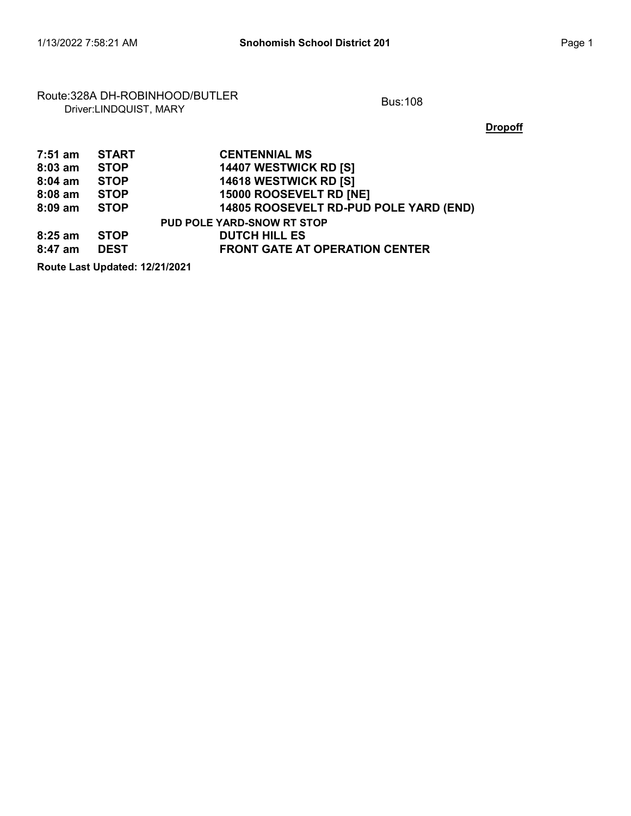#### Route:328A DH-ROBINHOOD/BUTLER<br>Driver:LINDQUIST, MARY

**Dropoff** 

| 7:51 am   | <b>START</b> | <b>CENTENNIAL MS</b>                   |
|-----------|--------------|----------------------------------------|
| $8:03$ am | <b>STOP</b>  | 14407 WESTWICK RD [S]                  |
| $8:04$ am | <b>STOP</b>  | 14618 WESTWICK RD [S]                  |
| $8:08$ am | <b>STOP</b>  | 15000 ROOSEVELT RD [NE]                |
| $8:09$ am | <b>STOP</b>  | 14805 ROOSEVELT RD-PUD POLE YARD (END) |
|           |              | <b>PUD POLE YARD-SNOW RT STOP</b>      |
| $8:25$ am | <b>STOP</b>  | <b>DUTCH HILL ES</b>                   |
| $8:47$ am | <b>DEST</b>  | <b>FRONT GATE AT OPERATION CENTER</b>  |
|           |              |                                        |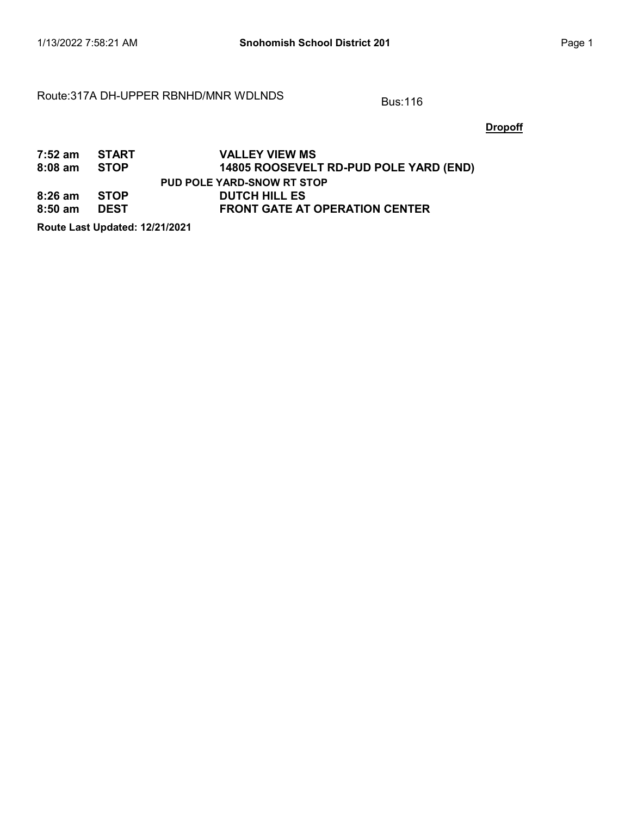#### Route:317A DH-UPPER RBNHD/MNR WDLNDS Bus:116

**Dropoff** 

| 7:52 am START<br>8:08 am STOP |             | <b>VALLEY VIEW MS</b><br>14805 ROOSEVELT RD-PUD POLE YARD (END) |
|-------------------------------|-------------|-----------------------------------------------------------------|
|                               |             | <b>PUD POLE YARD-SNOW RT STOP</b>                               |
| 8:26 am                       | <b>STOP</b> | <b>DUTCH HILL ES</b>                                            |
| $8:50$ am                     | <b>DEST</b> | <b>FRONT GATE AT OPERATION CENTER</b>                           |
|                               |             |                                                                 |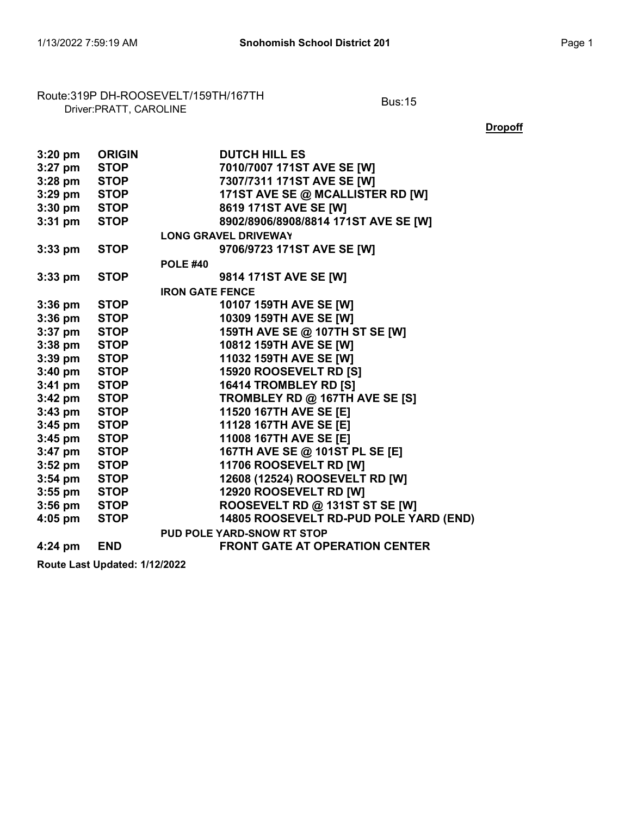## Route:319P DH-ROOSEVELT/159TH/167TH<br>Driver:PRATT, CAROLINE

**Dropoff** 

| $3:20$ pm | <b>ORIGIN</b> | <b>DUTCH HILL ES</b>                   |
|-----------|---------------|----------------------------------------|
| $3:27$ pm | <b>STOP</b>   | 7010/7007 171ST AVE SE [W]             |
| $3:28$ pm | <b>STOP</b>   | 7307/7311 171ST AVE SE [W]             |
| $3:29$ pm | <b>STOP</b>   | 171ST AVE SE @ MCALLISTER RD [W]       |
| $3:30$ pm | <b>STOP</b>   | 8619 171ST AVE SE [W]                  |
| $3:31$ pm | <b>STOP</b>   | 8902/8906/8908/8814 171ST AVE SE [W]   |
|           |               | <b>LONG GRAVEL DRIVEWAY</b>            |
| $3:33$ pm | <b>STOP</b>   | 9706/9723 171ST AVE SE [W]             |
|           |               | <b>POLE #40</b>                        |
| $3:33$ pm | <b>STOP</b>   | 9814 171ST AVE SE [W]                  |
|           |               | <b>IRON GATE FENCE</b>                 |
| $3:36$ pm | <b>STOP</b>   | 10107 159TH AVE SE [W]                 |
| $3:36$ pm | <b>STOP</b>   | 10309 159TH AVE SE [W]                 |
| $3:37$ pm | <b>STOP</b>   | 159TH AVE SE @ 107TH ST SE [W]         |
| $3:38$ pm | <b>STOP</b>   | 10812 159TH AVE SE [W]                 |
| $3:39$ pm | <b>STOP</b>   | 11032 159TH AVE SE [W]                 |
| $3:40$ pm | <b>STOP</b>   | 15920 ROOSEVELT RD [S]                 |
| $3:41$ pm | <b>STOP</b>   | 16414 TROMBLEY RD [S]                  |
| $3:42$ pm | <b>STOP</b>   | TROMBLEY RD @ 167TH AVE SE [S]         |
| $3:43$ pm | <b>STOP</b>   | 11520 167TH AVE SE [E]                 |
| $3:45$ pm | <b>STOP</b>   | 11128 167TH AVE SE [E]                 |
| $3:45$ pm | <b>STOP</b>   | 11008 167TH AVE SE [E]                 |
| $3:47$ pm | <b>STOP</b>   | 167TH AVE SE @ 101ST PL SE [E]         |
| $3:52$ pm | <b>STOP</b>   | 11706 ROOSEVELT RD [W]                 |
| $3:54$ pm | <b>STOP</b>   | 12608 (12524) ROOSEVELT RD [W]         |
| $3:55$ pm | <b>STOP</b>   | 12920 ROOSEVELT RD [W]                 |
| $3:56$ pm | <b>STOP</b>   | ROOSEVELT RD @ 131ST ST SE [W]         |
| $4:05$ pm | <b>STOP</b>   | 14805 ROOSEVELT RD-PUD POLE YARD (END) |
|           |               | PUD POLE YARD-SNOW RT STOP             |
| $4:24$ pm | <b>END</b>    | <b>FRONT GATE AT OPERATION CENTER</b>  |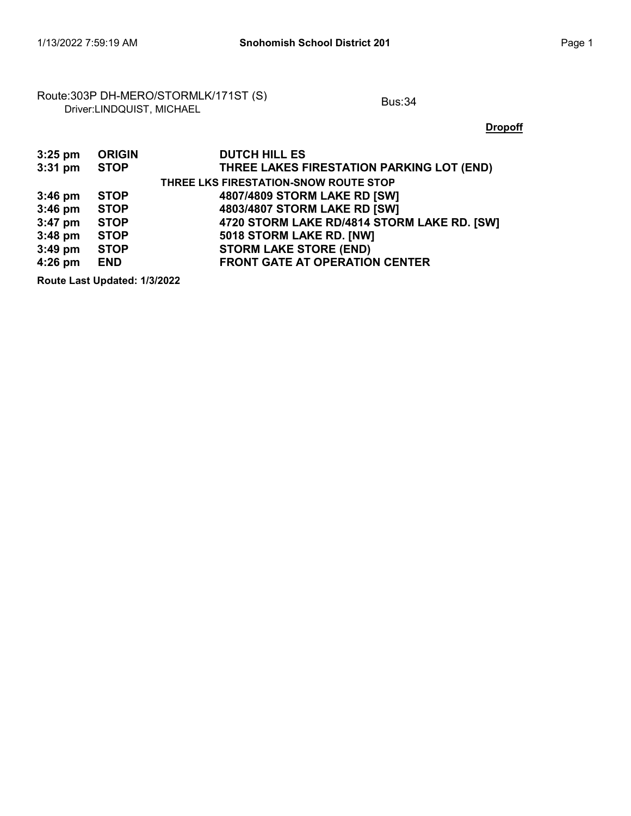#### Route:303P DH-MERO/STORMLK/171ST (S)<br>Driver:LINDQUIST, MICHAEL

**Dropoff** 

| $3:25$ pm | <b>ORIGIN</b> | <b>DUTCH HILL ES</b>                        |
|-----------|---------------|---------------------------------------------|
| $3:31$ pm | <b>STOP</b>   | THREE LAKES FIRESTATION PARKING LOT (END)   |
|           |               | THREE LKS FIRESTATION-SNOW ROUTE STOP       |
| $3:46$ pm | <b>STOP</b>   | 4807/4809 STORM LAKE RD [SW]                |
| $3:46$ pm | <b>STOP</b>   | 4803/4807 STORM LAKE RD [SW]                |
| $3:47$ pm | <b>STOP</b>   | 4720 STORM LAKE RD/4814 STORM LAKE RD. [SW] |
| $3:48$ pm | <b>STOP</b>   | 5018 STORM LAKE RD. [NW]                    |
| $3:49$ pm | <b>STOP</b>   | <b>STORM LAKE STORE (END)</b>               |
| $4:26$ pm | <b>END</b>    | <b>FRONT GATE AT OPERATION CENTER</b>       |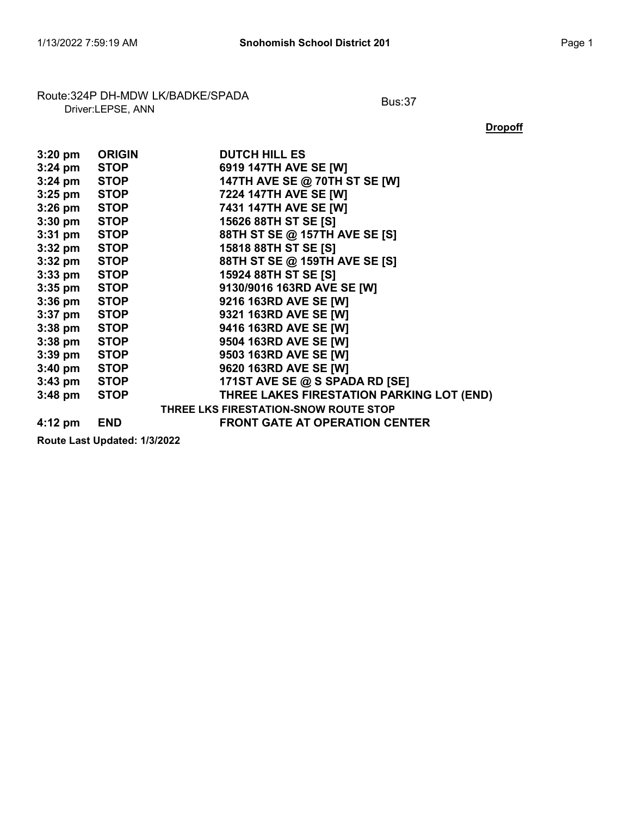#### Route:324P DH-MDW LK/BADKE/SPADA<br>Driver:LEPSE, ANN

**Dropoff** 

| $3:20$ pm         | <b>ORIGIN</b> | <b>DUTCH HILL ES</b>                      |
|-------------------|---------------|-------------------------------------------|
| $3:24$ pm         | <b>STOP</b>   | 6919 147TH AVE SE [W]                     |
| $3:24$ pm         | <b>STOP</b>   | 147TH AVE SE @ 70TH ST SE [W]             |
| 3:25 pm STOP      |               | 7224 147TH AVE SE [W]                     |
| $3:26$ pm         | <b>STOP</b>   | 7431 147TH AVE SE [W]                     |
| $3:30$ pm         | <b>STOP</b>   | 15626 88TH ST SE [S]                      |
| $3:31$ pm         | <b>STOP</b>   | 88TH ST SE @ 157TH AVE SE [S]             |
| 3:32 pm STOP      |               | 15818 88TH ST SE [S]                      |
| $3:32$ pm         | <b>STOP</b>   | 88TH ST SE @ 159TH AVE SE [S]             |
| $3:33$ pm         | <b>STOP</b>   | 15924 88TH ST SE [S]                      |
| 3:35 pm STOP      |               | 9130/9016 163RD AVE SE [W]                |
| 3:36 pm STOP      |               | 9216 163RD AVE SE [W]                     |
| $3:37$ pm         | <b>STOP</b>   | 9321 163RD AVE SE [W]                     |
| $3:38$ pm         | <b>STOP</b>   | 9416 163RD AVE SE [W]                     |
| 3:38 pm STOP      |               | 9504 163RD AVE SE [W]                     |
| $3:39$ pm         | <b>STOP</b>   | 9503 163RD AVE SE [W]                     |
| $3:40 \text{ pm}$ | <b>STOP</b>   | 9620 163RD AVE SE [W]                     |
| 3:43 pm STOP      |               | 171ST AVE SE @ S SPADA RD [SE]            |
| $3:48$ pm         | <b>STOP</b>   | THREE LAKES FIRESTATION PARKING LOT (END) |
|                   |               | THREE LKS FIRESTATION-SNOW ROUTE STOP     |
| $4:12 \text{ pm}$ | <b>END</b>    | <b>FRONT GATE AT OPERATION CENTER</b>     |
|                   |               |                                           |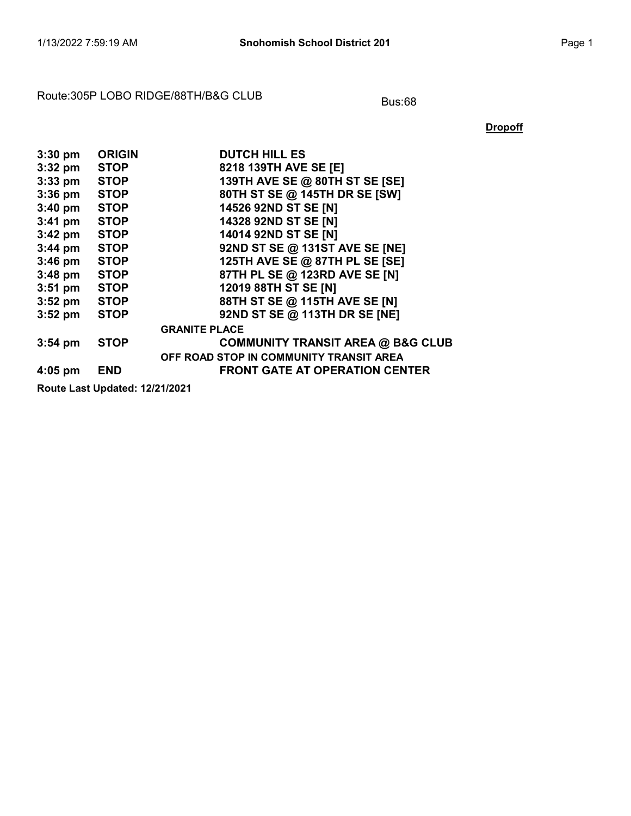#### Route:305P LOBO RIDGE/88TH/B&G CLUB Bus:68

**Dropoff** 

| $3:30$ pm | <b>ORIGIN</b>                  | <b>DUTCH HILL ES</b>                         |
|-----------|--------------------------------|----------------------------------------------|
| $3:32$ pm | <b>STOP</b>                    | 8218 139TH AVE SE [E]                        |
| $3:33$ pm | <b>STOP</b>                    | 139TH AVE SE @ 80TH ST SE [SE]               |
| $3:36$ pm | <b>STOP</b>                    | 80TH ST SE @ 145TH DR SE [SW]                |
| $3:40$ pm | <b>STOP</b>                    | 14526 92ND ST SE [N]                         |
| $3:41$ pm | <b>STOP</b>                    | 14328 92ND ST SE [N]                         |
| $3:42$ pm | <b>STOP</b>                    | 14014 92ND ST SE [N]                         |
| $3:44$ pm | <b>STOP</b>                    | 92ND ST SE @ 131ST AVE SE [NE]               |
| $3:46$ pm | <b>STOP</b>                    | 125TH AVE SE @ 87TH PL SE [SE]               |
| $3:48$ pm | <b>STOP</b>                    | 87TH PL SE @ 123RD AVE SE [N]                |
| $3:51$ pm | <b>STOP</b>                    | 12019 88TH ST SE [N]                         |
| $3:52$ pm | <b>STOP</b>                    | 88TH ST SE @ 115TH AVE SE [N]                |
| $3:52$ pm | <b>STOP</b>                    | 92ND ST SE @ 113TH DR SE [NE]                |
|           |                                | <b>GRANITE PLACE</b>                         |
| $3:54$ pm | <b>STOP</b>                    | <b>COMMUNITY TRANSIT AREA @ B&amp;G CLUB</b> |
|           |                                | OFF ROAD STOP IN COMMUNITY TRANSIT AREA      |
| $4:05$ pm | <b>END</b>                     | <b>FRONT GATE AT OPERATION CENTER</b>        |
|           | Route Last Updated: 12/21/2021 |                                              |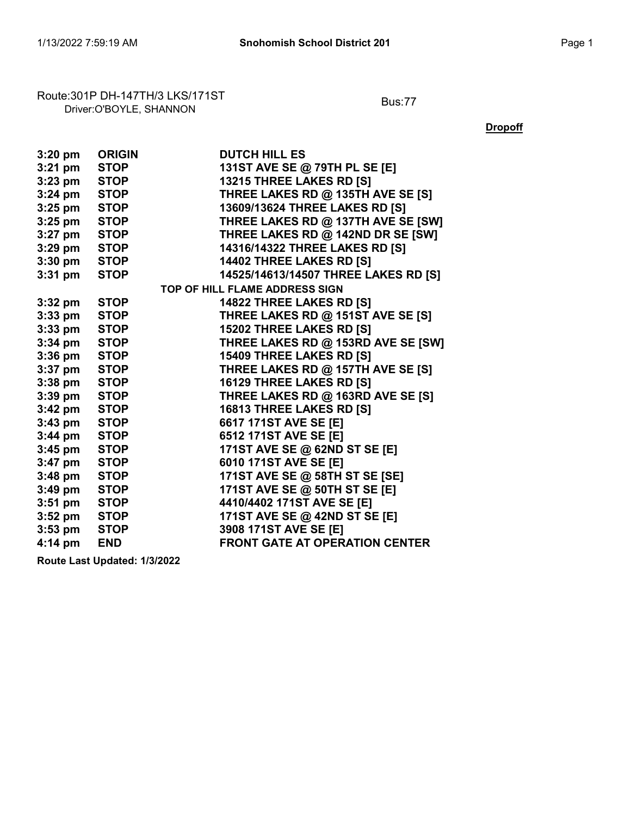#### Route:301P DH-147TH/3 LKS/171ST<br>Driver:O'BOYLE, SHANNON

**Dropoff** 

| $3:20$ pm         | <b>ORIGIN</b> | <b>DUTCH HILL ES</b>                  |
|-------------------|---------------|---------------------------------------|
| $3:21$ pm         | <b>STOP</b>   | 131ST AVE SE @ 79TH PL SE [E]         |
| $3:23$ pm         | <b>STOP</b>   | 13215 THREE LAKES RD [S]              |
| $3:24$ pm         | <b>STOP</b>   | THREE LAKES RD @ 135TH AVE SE [S]     |
| $3:25$ pm         | <b>STOP</b>   | 13609/13624 THREE LAKES RD [S]        |
| $3:25$ pm         | <b>STOP</b>   | THREE LAKES RD @ 137TH AVE SE [SW]    |
| $3:27$ pm         | <b>STOP</b>   | THREE LAKES RD @ 142ND DR SE [SW]     |
| $3:29$ pm         | <b>STOP</b>   | 14316/14322 THREE LAKES RD [S]        |
| $3:30$ pm         | <b>STOP</b>   | 14402 THREE LAKES RD [S]              |
| $3:31$ pm         | <b>STOP</b>   | 14525/14613/14507 THREE LAKES RD [S]  |
|                   |               | TOP OF HILL FLAME ADDRESS SIGN        |
| $3:32$ pm         | <b>STOP</b>   | 14822 THREE LAKES RD [S]              |
| $3:33$ pm         | <b>STOP</b>   | THREE LAKES RD @ 151ST AVE SE [S]     |
| $3:33$ pm         | <b>STOP</b>   | 15202 THREE LAKES RD [S]              |
| $3:34$ pm         | <b>STOP</b>   | THREE LAKES RD @ 153RD AVE SE [SW]    |
| $3:36$ pm         | <b>STOP</b>   | 15409 THREE LAKES RD [S]              |
| $3:37$ pm         | <b>STOP</b>   | THREE LAKES RD @ 157TH AVE SE [S]     |
| $3:38$ pm         | <b>STOP</b>   | 16129 THREE LAKES RD [S]              |
| $3:39$ pm         | <b>STOP</b>   | THREE LAKES RD @ 163RD AVE SE [S]     |
| $3:42$ pm         | <b>STOP</b>   | 16813 THREE LAKES RD [S]              |
| $3:43$ pm         | <b>STOP</b>   | 6617 171ST AVE SE [E]                 |
| $3:44$ pm         | <b>STOP</b>   | 6512 171ST AVE SE [E]                 |
| $3:45$ pm         | <b>STOP</b>   | 171ST AVE SE @ 62ND ST SE [E]         |
| $3:47$ pm         | <b>STOP</b>   | 6010 171ST AVE SE [E]                 |
| $3:48$ pm         | <b>STOP</b>   | 171ST AVE SE @ 58TH ST SE [SE]        |
| $3:49$ pm         | <b>STOP</b>   | 171ST AVE SE @ 50TH ST SE [E]         |
| $3:51$ pm         | <b>STOP</b>   | 4410/4402 171ST AVE SE [E]            |
| $3:52$ pm         | <b>STOP</b>   | 171ST AVE SE @ 42ND ST SE [E]         |
| $3:53$ pm         | <b>STOP</b>   | 3908 171ST AVE SE [E]                 |
| $4:14 \text{ pm}$ | <b>END</b>    | <b>FRONT GATE AT OPERATION CENTER</b> |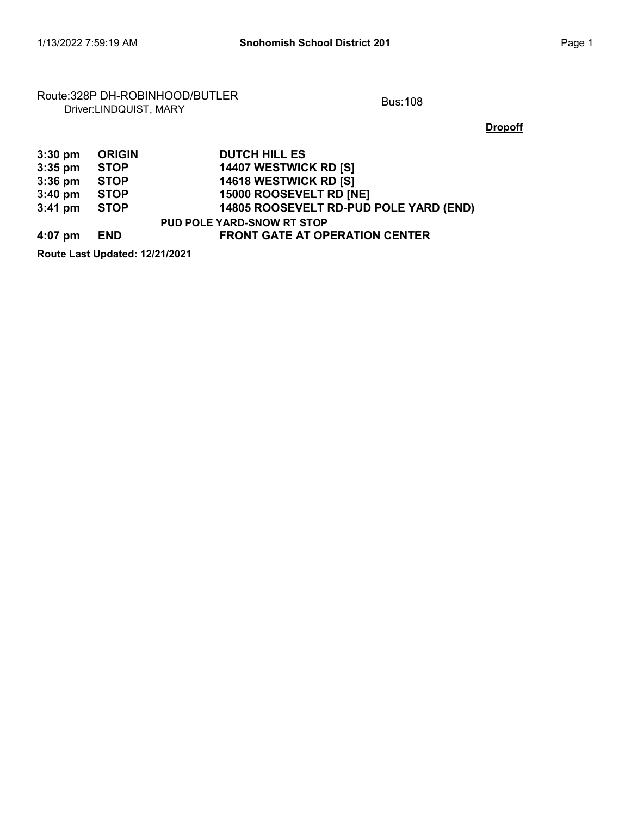## Route:328P DH-ROBINHOOD/BUTLER<br>Driver:LINDQUIST, MARY

**Dropoff** 

| $3:30$ pm | <b>ORIGIN</b> | <b>DUTCH HILL ES</b>                   |
|-----------|---------------|----------------------------------------|
| $3:35$ pm | <b>STOP</b>   | 14407 WESTWICK RD [S]                  |
| $3:36$ pm | <b>STOP</b>   | 14618 WESTWICK RD [S]                  |
| $3:40$ pm | <b>STOP</b>   | 15000 ROOSEVELT RD [NE]                |
| $3:41$ pm | <b>STOP</b>   | 14805 ROOSEVELT RD-PUD POLE YARD (END) |
|           |               | <b>PUD POLE YARD-SNOW RT STOP</b>      |
| 4:07 pm   | <b>END</b>    | <b>FRONT GATE AT OPERATION CENTER</b>  |